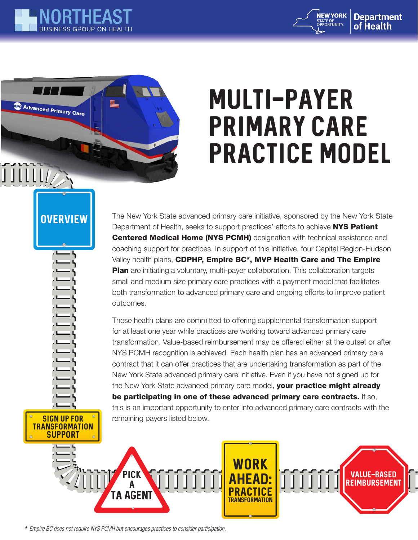

**APC Advanced Primary Care** 

**JIIIIII** 



# MULTI-PAYER PRIMARY CARE PRACTICE MODEL

### **OVERVIEW**

SIGN UP FOR **TRANSFORMATION SUPPORT** 

The New York State advanced primary care initiative, sponsored by the New York State Department of Health, seeks to support practices' efforts to achieve NYS Patient Centered Medical Home (NYS PCMH) designation with technical assistance and coaching support for practices. In support of this initiative, four Capital Region-Hudson Valley health plans, CDPHP, Empire BC\*, MVP Health Care and The Empire **Plan** are initiating a voluntary, multi-payer collaboration. This collaboration targets small and medium size primary care practices with a payment model that facilitates both transformation to advanced primary care and ongoing efforts to improve patient outcomes.

These health plans are committed to offering supplemental transformation support for at least one year while practices are working toward advanced primary care transformation. Value-based reimbursement may be offered either at the outset or after NYS PCMH recognition is achieved. Each health plan has an advanced primary care contract that it can offer practices that are undertaking transformation as part of the New York State advanced primary care initiative. Even if you have not signed up for the New York State advanced primary care model, your practice might already be participating in one of these advanced primary care contracts. If so, this is an important opportunity to enter into advanced primary care contracts with the remaining payers listed below.



\* *Empire BC does not require NYS PCMH but encourages practices to consider participation.*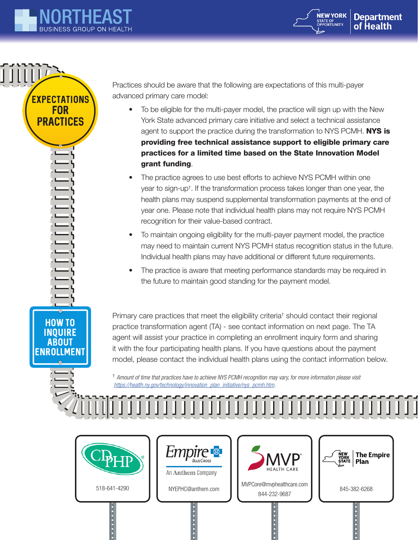

**EXPECTATIONS** FOR PRACTICES

**JIIIILA** 

HOW TO INQUIRE ABOUT ENROLLMENT



Practices should be aware that the following are expectations of this multi-payer advanced primary care model:

- To be eligible for the multi-payer model, the practice will sign up with the New York State advanced primary care initiative and select a technical assistance agent to support the practice during the transformation to NYS PCMH. NYS is providing free technical assistance support to eligible primary care practices for a limited time based on the State Innovation Model grant funding.
- The practice agrees to use best efforts to achieve NYS PCMH within one year to sign-up† . If the transformation process takes longer than one year, the health plans may suspend supplemental transformation payments at the end of year one. Please note that individual health plans may not require NYS PCMH recognition for their value-based contract.
- To maintain ongoing eligibility for the multi-payer payment model, the practice may need to maintain current NYS PCMH status recognition status in the future. Individual health plans may have additional or different future requirements.
- The practice is aware that meeting performance standards may be required in the future to maintain good standing for the payment model.

Primary care practices that meet the eligibility criteria<sup>†</sup> should contact their regional practice transformation agent (TA) - see contact information on next page. The TA agent will assist your practice in completing an enrollment inquiry form and sharing it with the four participating health plans. If you have questions about the payment model, please contact the individual health plans using the contact information below.

† *Amount of time that practices have to achieve NYS PCMH recognition may vary, for more information please visit https://health.ny.gov/technology/innovation\_plan\_initiative/nys\_pcmh.htm.*

 $\begin{smallmatrix} \text{1} & \text{1} & \text{1} & \text{1} & \text{1} & \text{1} & \text{1} & \text{1} & \text{1} & \text{1} & \text{1} & \text{1} & \text{1} & \text{1} & \text{1} & \text{1} & \text{1} & \text{1} & \text{1} & \text{1} & \text{1} & \text{1} & \text{1} & \text{1} & \text{1} & \text{1} & \text{1} & \text{1} & \text{1} & \text{1} & \text{1} & \text{1} & \text{1} & \text{1} & \text{1} & \text{1$ 



.......



. . . . . . . .



518-641-4290 NYEPHC@anthem.com MVPCore@mvphealthcare.com 844-232-9687 NYEPHC@anthem.com 845-382-6268

**.**<br>.<br>.<br>.<br>.



.......